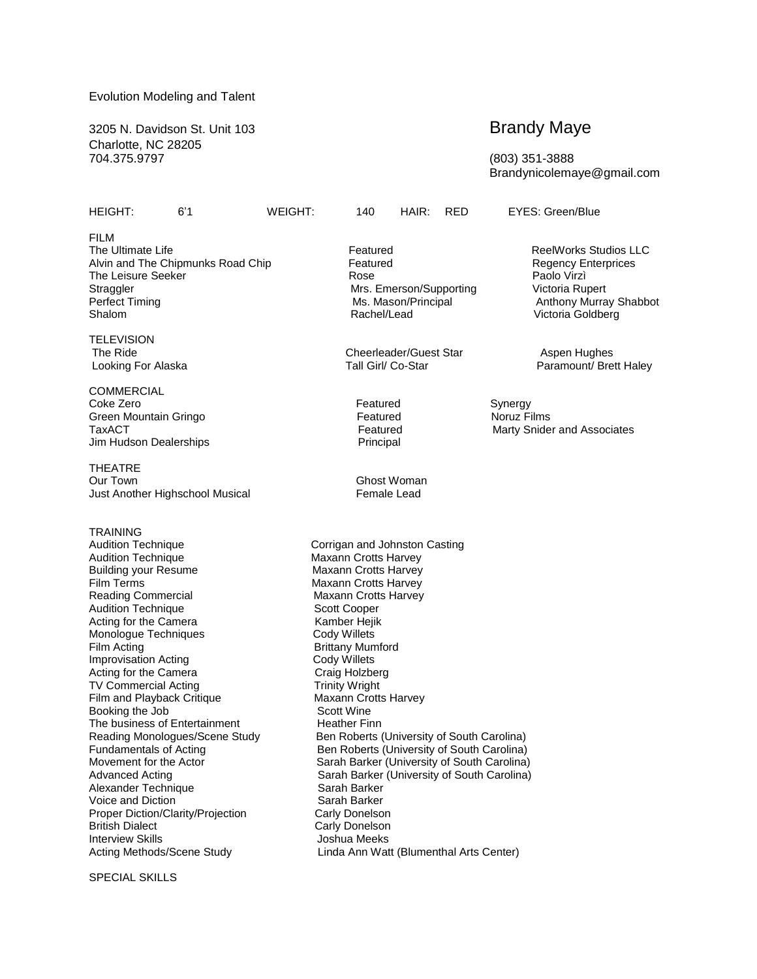## Evolution Modeling and Talent

3205 N. Davidson St. Unit 103 **Brandy Maye** Charlotte, NC 28205 704.375.9797 (803) 351-3888

## HEIGHT: 6'1 WEIGHT: 140 HAIR: RED EYES: Green/Blue

Brandynicolemaye@gmail.com

FILM The Ultimate Life **Featured** Featured **ReelWorks Studios LLC**<br>
Alvin and The Chipmunks Road Chip **ReelWorks** Featured **ReelWorks Studios LLC** Alvin and The Chipmunks Road Chip Featured Regency Enterprices The Leisure Seeker **Rose** Paolo View Paolo View Paolo View Paolo View Paolo View Paolo View Paolo View Paolo Vie Straggler Mrs. Emerson/Supporting Victoria Rupert<br>Perfect Timing The Music Music Music Music Music Music Music Music Music Music Music Music Music Music Music M<br>Music Music Music Music Music Music Music Music Music Music M Shalom **Rachel/Lead** Victoria Goldberg **Rachel** Rachel/Lead Victoria Goldberg

**TELEVISION** 

**COMMERCIAL** Coke Zero **Featured** Synergy<br>
Green Mountain Gringo **Featured** Synergy **Featured** Synergy Green Mountain Gringo **Featured** Featured Jim Hudson Dealerships **Principal** 

THEATRE Our Town Ghost Woman Just Another Highschool Musical Female Lead

**TRAINING** 

Audition Technique **Maxann Crotts Harvey**<br>
Building your Resume **Maxann Crotts Harvey** Film Terms **Maxann** Crotts Harvey Reading Commercial Maxann Crotts Harvey Audition Technique **Scott Cooper** Scott Cooper Acting for the Camera<br>
Monologue Techniques<br>
Cody Willets Monologue Techniques Film Acting **Brittany Mumford**<br> **Improvisation Acting Structure Cody Willets** Improvisation Acting Theorem Cody Willets<br>
Acting for the Camera<br>
Craig Holzberg Acting for the Camera<br>
TV Commercial Acting<br>
Trinity Wright TV Commercial Acting Film and Playback Critique Maxann Crotts Harvey Booking the Job Scott Wine The business of Entertainment Heather Finn Alexander Technique Voice and Diction Sarah Barker Proper Diction/Clarity/Projection Carly Donelson **British Dialect Carly Donelson** Interview Skills **Interview Skills Joshua Meeks** Acting Methods/Scene Study Linda Ann Watt (Blumenthal Arts Center)

The Ride Cheerleader/Guest Star Aspen Hughes Aspen Hughes Looking For Alaska **Tall Girl/ Co-Star** Paramount/ Brett Haley

Audition Technique **Corrigan and Johnston Casting Maxann Crotts Harvey** Reading Monologues/Scene Study Ben Roberts (University of South Carolina)<br>Fundamentals of Acting Ben Roberts (University of South Carolina) Fundamentals of Acting **Ben Roberts (University of South Carolina)**<br>Movement for the Actor **Ben Roberts Containers** Sarah Barker (University of South Carolina) Movement for the Actor **Sarah Barker (University of South Carolina)**<br>Advanced Acting **Carolina** Sarah Barker (University of South Carolina) Sarah Barker (University of South Carolina)<br>Sarah Barker

Ms. Mason/Principal Anthony Murray Shabbot<br>
Rachel/Lead Anthony Victoria Goldberg

TaxACT Featured Marty Snider and Associates Marty Snider and Associates

SPECIAL SKILLS